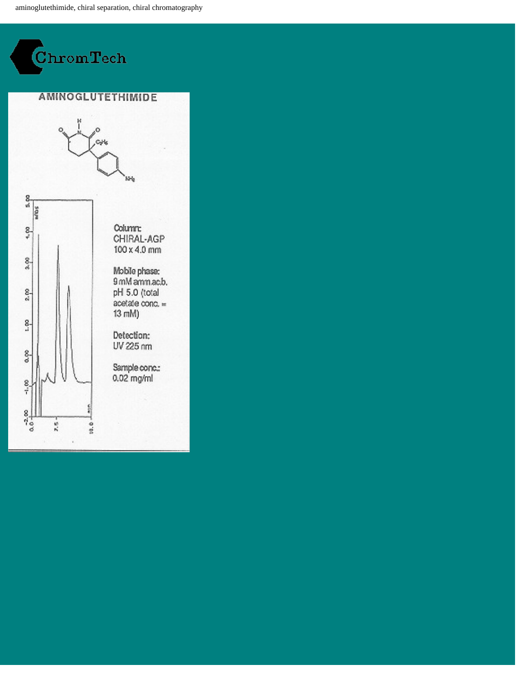aminoglutethimide, chiral separation, chiral chromatography

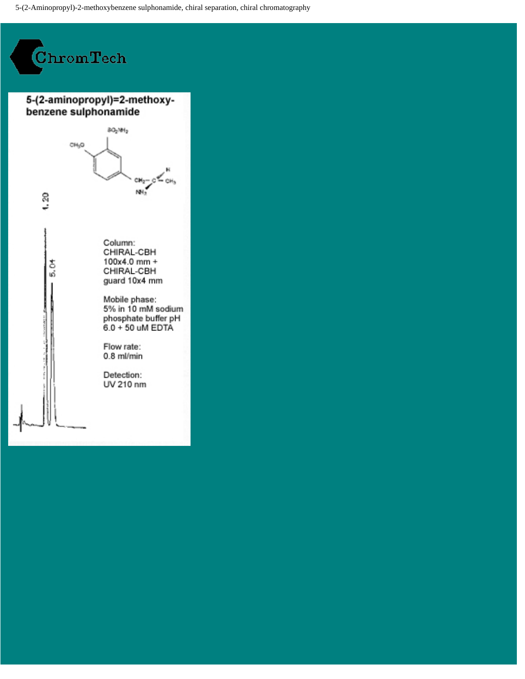5-(2-Aminopropyl)-2-methoxybenzene sulphonamide, chiral separation, chiral chromatography

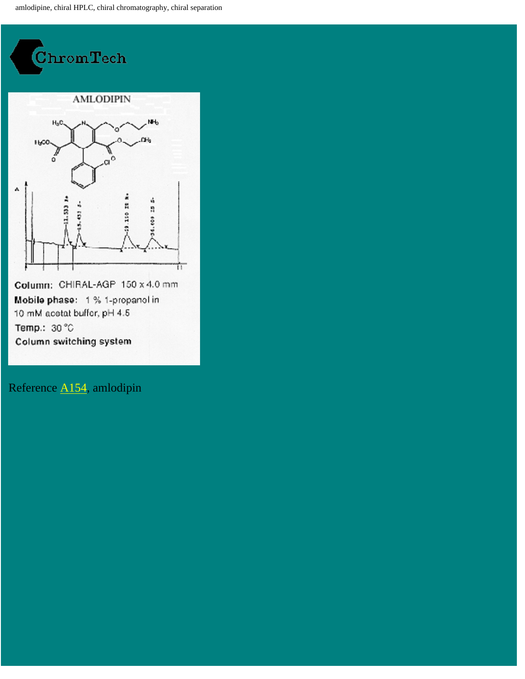amlodipine, chiral HPLC, chiral chromatography, chiral separation



Mobile phase: 1 % 1-propanol in 10 mM acetat buffer, pH 4.5 Temp.: 30 °C Column switching system

Reference [A154](http://chromtech.co.uk/refagp.htm#154.), amlodipin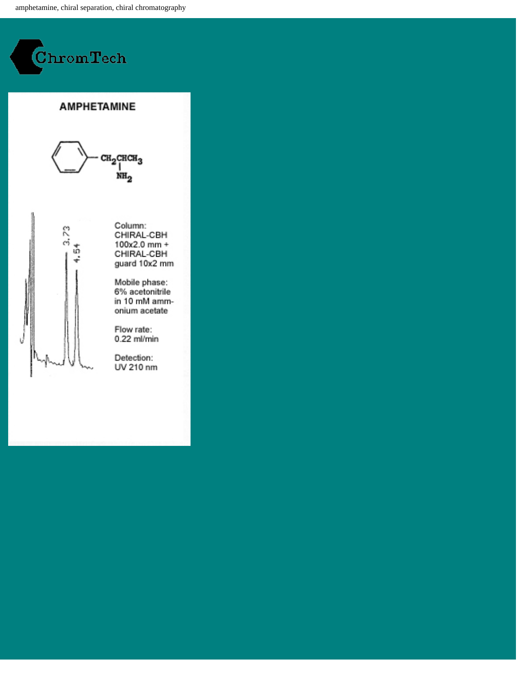amphetamine, chiral separation, chiral chromatography



 $3.73$ 

ŵ

### **AMPHETAMINE**



Column: CHIRAL-CBH  $100x2.0$  mm + CHIRAL-CBH guard 10x2 mm

Mobile phase: 6% acetonitrile in 10 mM ammonium acetate

Flow rate: 0.22 ml/min

Detection: UV 210 nm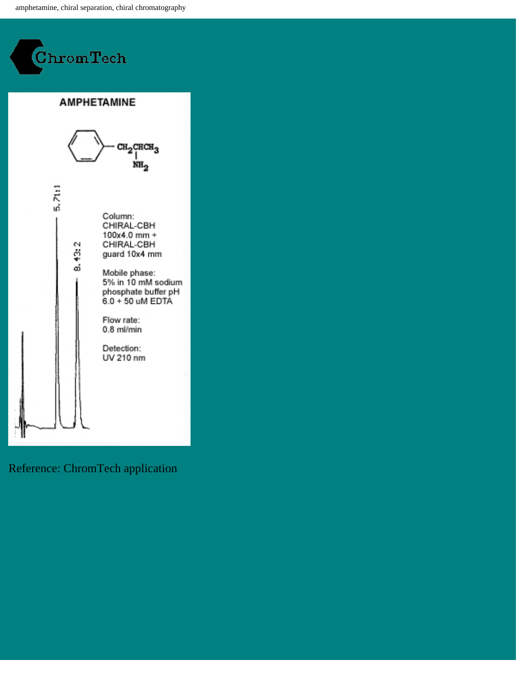amphetamine, chiral separation, chiral chromatography



5.71:1

8.43:2

**AMPHETAMINE** 



Column: CHIRAL-CBH  $100x4.0$  mm + CHIRAL-CBH guard 10x4 mm

Mobile phase: 5% in 10 mM sodium phosphate buffer pH 6.0 + 50 uM EDTA

Flow rate:  $0.8$  ml/min

Detection: UV 210 nm

### Reference: ChromTech application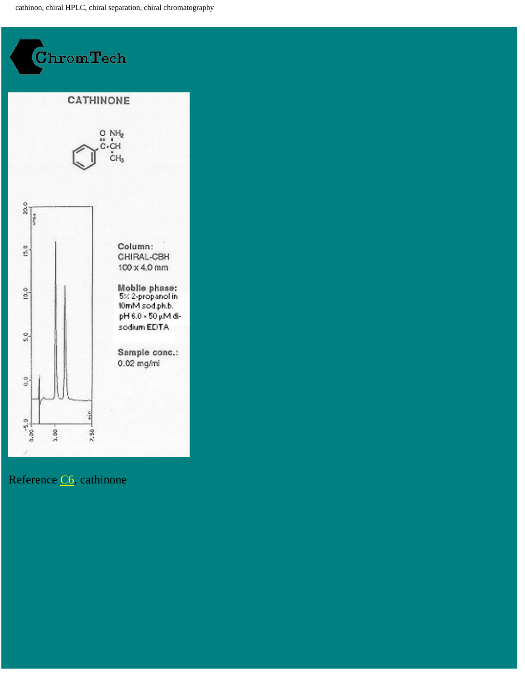cathinon, chiral HPLC, chiral separation, chiral chromatography



## Reference [C6,](http://chromtech.co.uk/refcbh.htm#6.) cathinone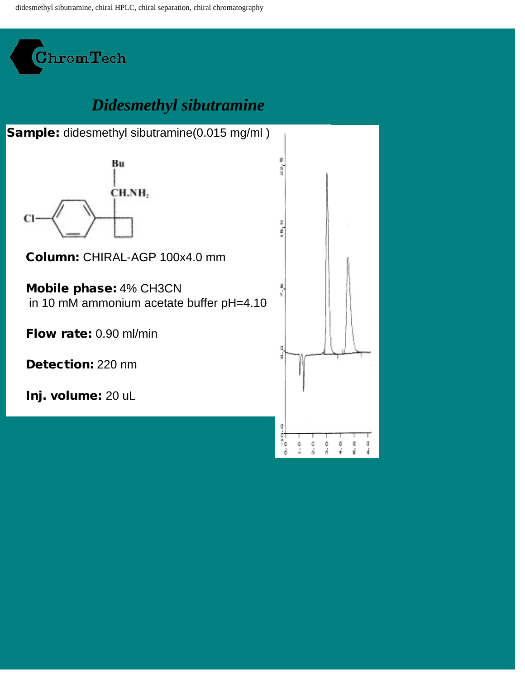didesmethyl sibutramine, chiral HPLC, chiral separation, chiral chromatography



# *Didesmethyl sibutramine*

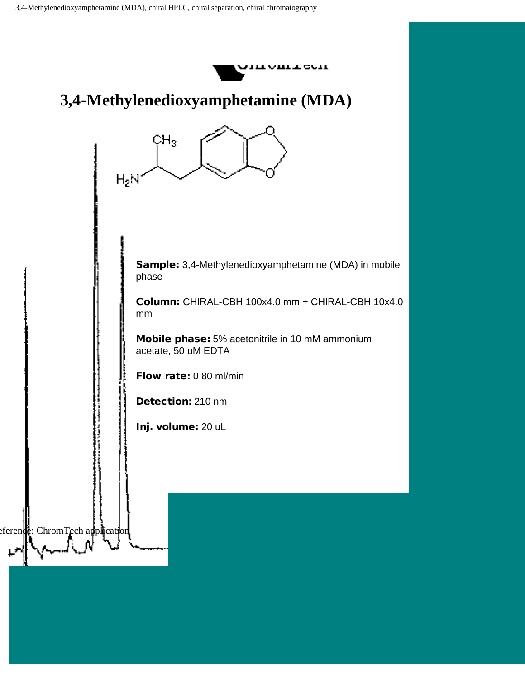

## **3,4-Methylenedioxyamphetamine (MDA)**



Sample: 3,4-Methylenedioxyamphetamine (MDA) in mobile phase

Column: CHIRAL-CBH 100x4.0 mm + CHIRAL-CBH 10x4.0 mm

Mobile phase: 5% acetonitrile in 10 mM ammonium acetate, 50 uM EDTA

Flow rate: 0.80 ml/min

Detection: 210 nm

Inj. volume: 20 uL

eference: ChromTech application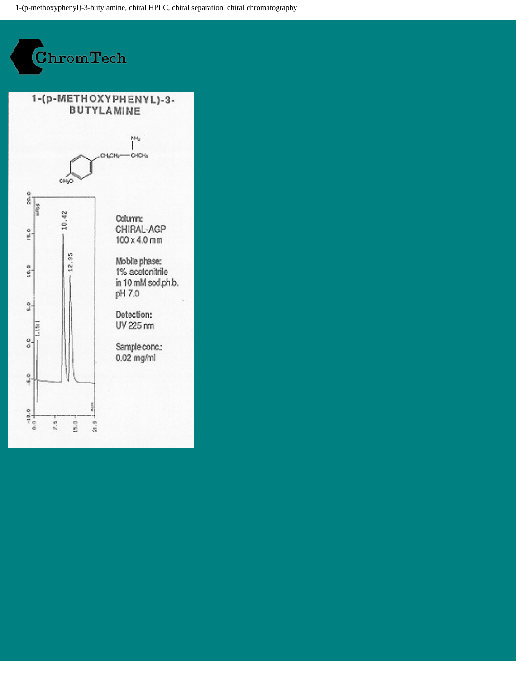1-(p-methoxyphenyl)-3-butylamine, chiral HPLC, chiral separation, chiral chromatography

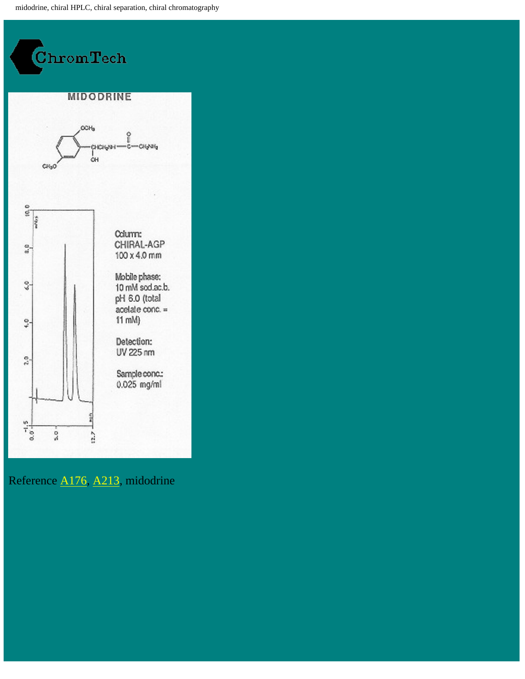midodrine, chiral HPLC, chiral separation, chiral chromatography



Reference [A176](http://chromtech.co.uk/refagp.htm#176.), [A213](http://chromtech.co.uk/refagp.htm#213.), midodrine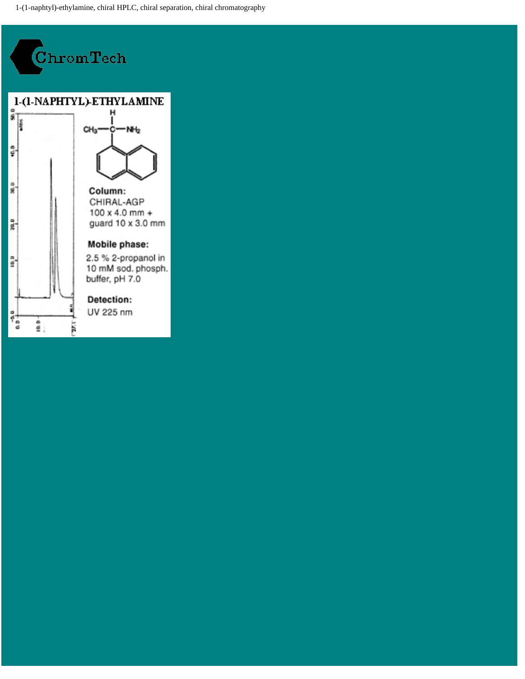1-(1-naphtyl)-ethylamine, chiral HPLC, chiral separation, chiral chromatography

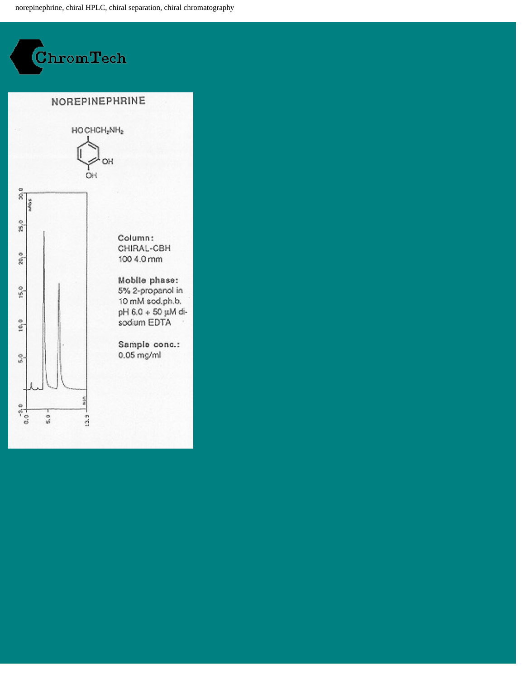norepinephrine, chiral HPLC, chiral separation, chiral chromatography

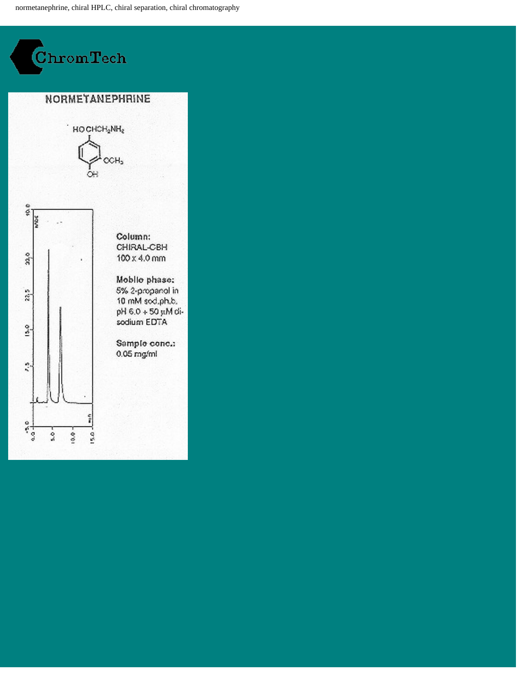normetanephrine, chiral HPLC, chiral separation, chiral chromatography



CHIRAL-CBH  $100 \times 4.0$  mm

Mobile phase: 5% 2-propanol in 10 mM sod.ph.b. -ib Mu 02 + 0.8 Hq sodium EDTA

Sample conc.:  $0.05$  mg/ml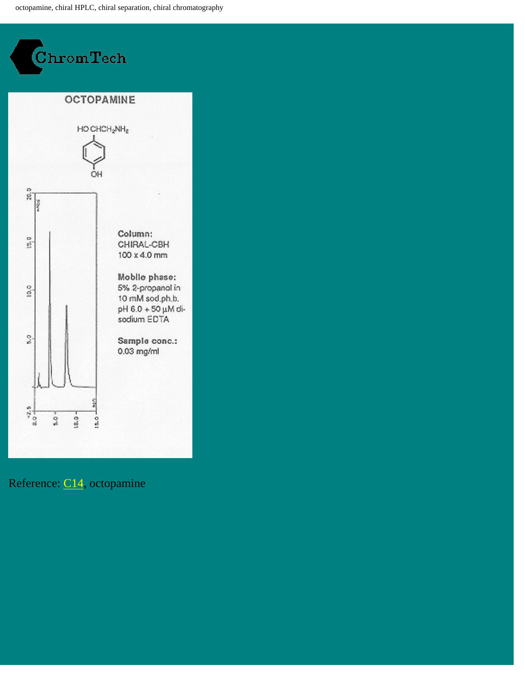octopamine, chiral HPLC, chiral separation, chiral chromatography



## Reference: [C14](http://chromtech.co.uk/refcbh.htm#14.), octopamine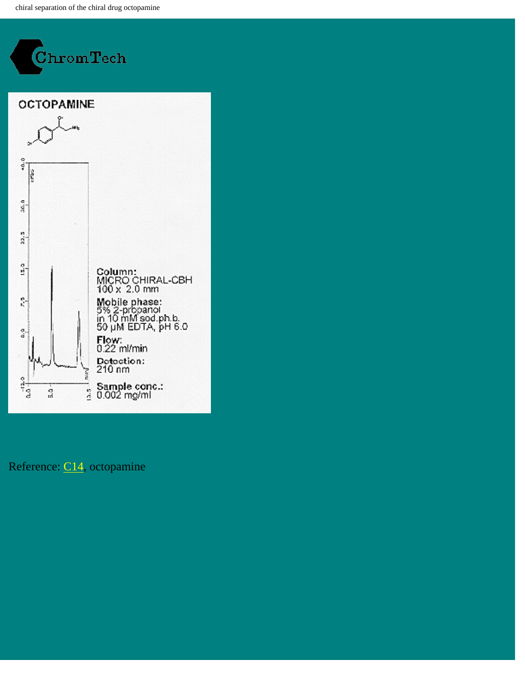chiral separation of the chiral drug octopamine



### Reference: [C14](http://chromtech.co.uk/refcbh.htm#14.), octopamine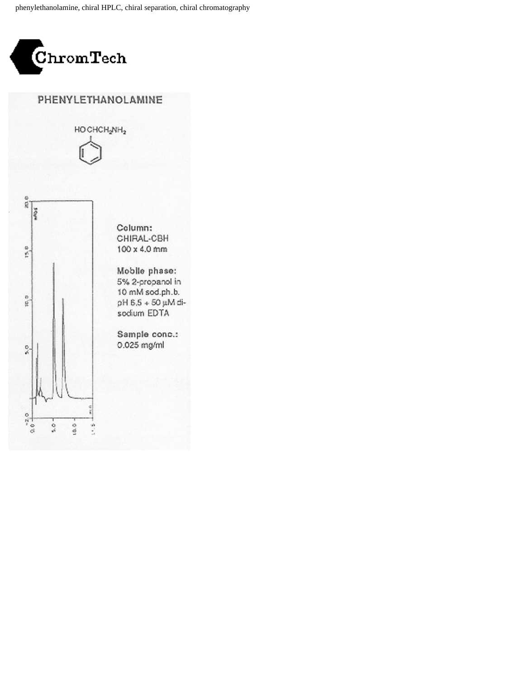phenylethanolamine, chiral HPLC, chiral separation, chiral chromatography